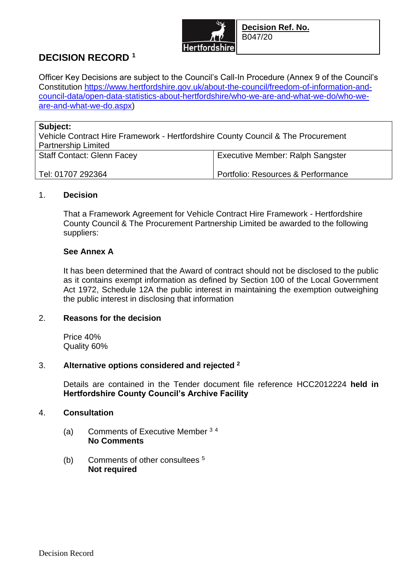

# **DECISION RECORD <sup>1</sup>**

Officer Key Decisions are subject to the Council's Call-In Procedure (Annex 9 of the Council's Constitution [https://www.hertfordshire.gov.uk/about-the-council/freedom-of-information-and](https://www.hertfordshire.gov.uk/about-the-council/freedom-of-information-and-council-data/open-data-statistics-about-hertfordshire/who-we-are-and-what-we-do/who-we-are-and-what-we-do.aspx)[council-data/open-data-statistics-about-hertfordshire/who-we-are-and-what-we-do/who-we](https://www.hertfordshire.gov.uk/about-the-council/freedom-of-information-and-council-data/open-data-statistics-about-hertfordshire/who-we-are-and-what-we-do/who-we-are-and-what-we-do.aspx)[are-and-what-we-do.aspx\)](https://www.hertfordshire.gov.uk/about-the-council/freedom-of-information-and-council-data/open-data-statistics-about-hertfordshire/who-we-are-and-what-we-do/who-we-are-and-what-we-do.aspx)

| Subject:                                                                         |                                         |
|----------------------------------------------------------------------------------|-----------------------------------------|
| Vehicle Contract Hire Framework - Hertfordshire County Council & The Procurement |                                         |
| <b>Partnership Limited</b>                                                       |                                         |
| <b>Staff Contact: Glenn Facey</b>                                                | <b>Executive Member: Ralph Sangster</b> |
|                                                                                  |                                         |
| Tel: 01707 292364                                                                | Portfolio: Resources & Performance      |
|                                                                                  |                                         |

### 1. **Decision**

That a Framework Agreement for Vehicle Contract Hire Framework - Hertfordshire County Council & The Procurement Partnership Limited be awarded to the following suppliers:

## **See Annex A**

It has been determined that the Award of contract should not be disclosed to the public as it contains exempt information as defined by Section 100 of the Local Government Act 1972, Schedule 12A the public interest in maintaining the exemption outweighing the public interest in disclosing that information

## 2. **Reasons for the decision**

Price 40% Quality 60%

## 3. **Alternative options considered and rejected <sup>2</sup>**

Details are contained in the Tender document file reference HCC2012224 **held in Hertfordshire County Council's Archive Facility**

## 4. **Consultation**

- (a) Comments of Executive Member <sup>3</sup> <sup>4</sup> **No Comments**
- (b) Comments of other consultees <sup>5</sup> **Not required**